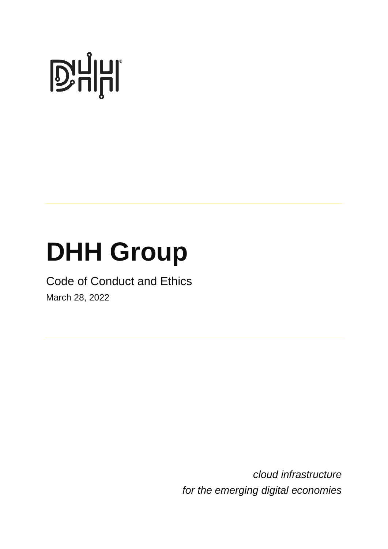# **D'ALITE**

# **DHH Group**

## Code of Conduct and Ethics

March 28, 2022

*cloud infrastructure for the emerging digital economies*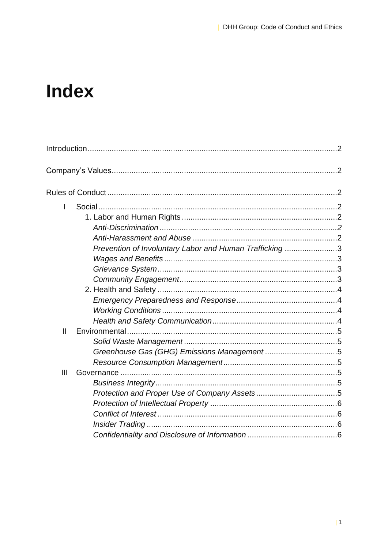## **Index**

| $\mathsf{I}$  |                                                         |  |
|---------------|---------------------------------------------------------|--|
|               |                                                         |  |
|               |                                                         |  |
|               |                                                         |  |
|               | Prevention of Involuntary Labor and Human Trafficking 3 |  |
|               |                                                         |  |
|               |                                                         |  |
|               |                                                         |  |
|               |                                                         |  |
|               |                                                         |  |
|               |                                                         |  |
|               |                                                         |  |
| $\mathbf{II}$ |                                                         |  |
|               |                                                         |  |
|               |                                                         |  |
|               |                                                         |  |
| III           |                                                         |  |
|               |                                                         |  |
|               |                                                         |  |
|               |                                                         |  |
|               |                                                         |  |
|               |                                                         |  |
|               |                                                         |  |
|               |                                                         |  |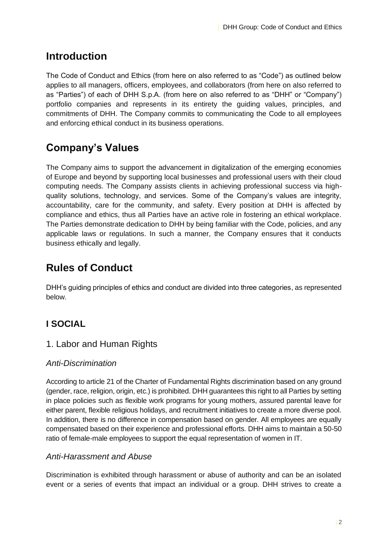#### **Introduction**

The Code of Conduct and Ethics (from here on also referred to as "Code") as outlined below applies to all managers, officers, employees, and collaborators (from here on also referred to as "Parties") of each of DHH S.p.A. (from here on also referred to as "DHH" or "Company") portfolio companies and represents in its entirety the guiding values, principles, and commitments of DHH. The Company commits to communicating the Code to all employees and enforcing ethical conduct in its business operations.

#### **Company's Values**

The Company aims to support the advancement in digitalization of the emerging economies of Europe and beyond by supporting local businesses and professional users with their cloud computing needs. The Company assists clients in achieving professional success via highquality solutions, technology, and services. Some of the Company's values are integrity, accountability, care for the community, and safety. Every position at DHH is affected by compliance and ethics, thus all Parties have an active role in fostering an ethical workplace. The Parties demonstrate dedication to DHH by being familiar with the Code, policies, and any applicable laws or regulations. In such a manner, the Company ensures that it conducts business ethically and legally.

#### **Rules of Conduct**

DHH's guiding principles of ethics and conduct are divided into three categories, as represented below.

#### **I SOCIAL**

#### 1. Labor and Human Rights

#### *Anti-Discrimination*

According to article 21 of the Charter of Fundamental Rights discrimination based on any ground (gender, race, religion, origin, etc.) is prohibited. DHH guarantees this right to all Parties by setting in place policies such as flexible work programs for young mothers, assured parental leave for either parent, flexible religious holidays, and recruitment initiatives to create a more diverse pool. In addition, there is no difference in compensation based on gender. All employees are equally compensated based on their experience and professional efforts. DHH aims to maintain a 50-50 ratio of female-male employees to support the equal representation of women in IT.

#### *Anti-Harassment and Abuse*

Discrimination is exhibited through harassment or abuse of authority and can be an isolated event or a series of events that impact an individual or a group. DHH strives to create a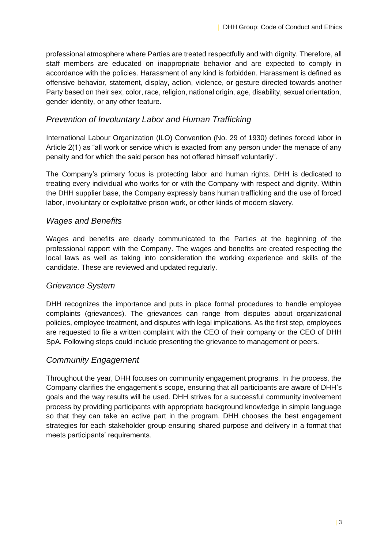professional atmosphere where Parties are treated respectfully and with dignity. Therefore, all staff members are educated on inappropriate behavior and are expected to comply in accordance with the policies. Harassment of any kind is forbidden. Harassment is defined as offensive behavior, statement, display, action, violence, or gesture directed towards another Party based on their sex, color, race, religion, national origin, age, disability, sexual orientation, gender identity, or any other feature.

#### *Prevention of Involuntary Labor and Human Trafficking*

International Labour Organization (ILO) Convention (No. 29 of 1930) defines forced labor in Article 2(1) as "all work or service which is exacted from any person under the menace of any penalty and for which the said person has not offered himself voluntarily".

The Company's primary focus is protecting labor and human rights. DHH is dedicated to treating every individual who works for or with the Company with respect and dignity. Within the DHH supplier base, the Company expressly bans human trafficking and the use of forced labor, involuntary or exploitative prison work, or other kinds of modern slavery.

#### *Wages and Benefits*

Wages and benefits are clearly communicated to the Parties at the beginning of the professional rapport with the Company. The wages and benefits are created respecting the local laws as well as taking into consideration the working experience and skills of the candidate. These are reviewed and updated regularly.

#### *Grievance System*

DHH recognizes the importance and puts in place formal procedures to handle employee complaints (grievances). The grievances can range from disputes about organizational policies, employee treatment, and disputes with legal implications. As the first step, employees are requested to file a written complaint with the CEO of their company or the CEO of DHH SpA. Following steps could include presenting the grievance to management or peers.

#### *Community Engagement*

Throughout the year, DHH focuses on community engagement programs. In the process, the Company clarifies the engagement's scope, ensuring that all participants are aware of DHH's goals and the way results will be used. DHH strives for a successful community involvement process by providing participants with appropriate background knowledge in simple language so that they can take an active part in the program. DHH chooses the best engagement strategies for each stakeholder group ensuring shared purpose and delivery in a format that meets participants' requirements.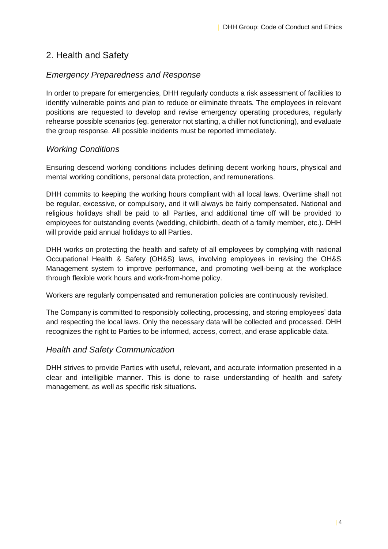#### 2. Health and Safety

#### *Emergency Preparedness and Response*

In order to prepare for emergencies, DHH regularly conducts a risk assessment of facilities to identify vulnerable points and plan to reduce or eliminate threats. The employees in relevant positions are requested to develop and revise emergency operating procedures, regularly rehearse possible scenarios (eg. generator not starting, a chiller not functioning), and evaluate the group response. All possible incidents must be reported immediately.

#### *Working Conditions*

Ensuring descend working conditions includes defining decent working hours, physical and mental working conditions, personal data protection, and remunerations.

DHH commits to keeping the working hours compliant with all local laws. Overtime shall not be regular, excessive, or compulsory, and it will always be fairly compensated. National and religious holidays shall be paid to all Parties, and additional time off will be provided to employees for outstanding events (wedding, childbirth, death of a family member, etc.). DHH will provide paid annual holidays to all Parties.

DHH works on protecting the health and safety of all employees by complying with national Occupational Health & Safety (OH&S) laws, involving employees in revising the OH&S Management system to improve performance, and promoting well-being at the workplace through flexible work hours and work-from-home policy.

Workers are regularly compensated and remuneration policies are continuously revisited.

The Company is committed to responsibly collecting, processing, and storing employees' data and respecting the local laws. Only the necessary data will be collected and processed. DHH recognizes the right to Parties to be informed, access, correct, and erase applicable data.

#### *Health and Safety Communication*

DHH strives to provide Parties with useful, relevant, and accurate information presented in a clear and intelligible manner. This is done to raise understanding of health and safety management, as well as specific risk situations.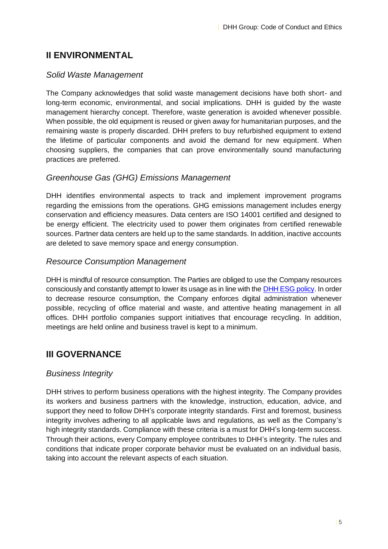#### **II ENVIRONMENTAL**

#### *Solid Waste Management*

The Company acknowledges that solid waste management decisions have both short- and long-term economic, environmental, and social implications. DHH is guided by the waste management hierarchy concept. Therefore, waste generation is avoided whenever possible. When possible, the old equipment is reused or given away for humanitarian purposes, and the remaining waste is properly discarded. DHH prefers to buy refurbished equipment to extend the lifetime of particular components and avoid the demand for new equipment. When choosing suppliers, the companies that can prove environmentally sound manufacturing practices are preferred.

#### *Greenhouse Gas (GHG) Emissions Management*

DHH identifies environmental aspects to track and implement improvement programs regarding the emissions from the operations. GHG emissions management includes energy conservation and efficiency measures. Data centers are ISO 14001 certified and designed to be energy efficient. The electricity used to power them originates from certified renewable sources. Partner data centers are held up to the same standards. In addition, inactive accounts are deleted to save memory space and energy consumption.

#### *Resource Consumption Management*

DHH is mindful of resource consumption. The Parties are obliged to use the Company resources consciously and constantly attempt to lower its usage as in line with the [DHH ESG policy.](https://www.dhh.international/wp-content/uploads/2022/03/DHH-ESG-report.pdf) In order to decrease resource consumption, the Company enforces digital administration whenever possible, recycling of office material and waste, and attentive heating management in all offices. DHH portfolio companies support initiatives that encourage recycling. In addition, meetings are held online and business travel is kept to a minimum.

#### **III GOVERNANCE**

#### *Business Integrity*

DHH strives to perform business operations with the highest integrity. The Company provides its workers and business partners with the knowledge, instruction, education, advice, and support they need to follow DHH's corporate integrity standards. First and foremost, business integrity involves adhering to all applicable laws and regulations, as well as the Company's high integrity standards. Compliance with these criteria is a must for DHH's long-term success. Through their actions, every Company employee contributes to DHH's integrity. The rules and conditions that indicate proper corporate behavior must be evaluated on an individual basis, taking into account the relevant aspects of each situation.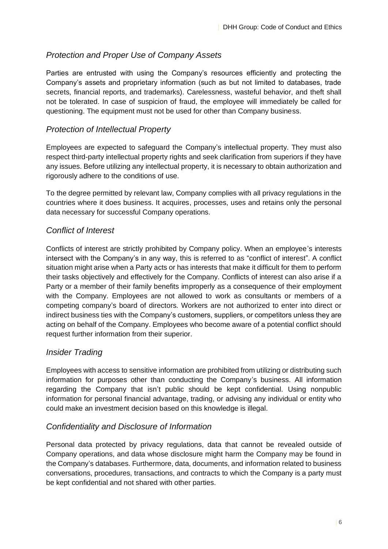#### *Protection and Proper Use of Company Assets*

Parties are entrusted with using the Company's resources efficiently and protecting the Company's assets and proprietary information (such as but not limited to databases, trade secrets, financial reports, and trademarks). Carelessness, wasteful behavior, and theft shall not be tolerated. In case of suspicion of fraud, the employee will immediately be called for questioning. The equipment must not be used for other than Company business.

#### *Protection of Intellectual Property*

Employees are expected to safeguard the Company's intellectual property. They must also respect third-party intellectual property rights and seek clarification from superiors if they have any issues. Before utilizing any intellectual property, it is necessary to obtain authorization and rigorously adhere to the conditions of use.

To the degree permitted by relevant law, Company complies with all privacy regulations in the countries where it does business. It acquires, processes, uses and retains only the personal data necessary for successful Company operations.

#### *Conflict of Interest*

Conflicts of interest are strictly prohibited by Company policy. When an employee's interests intersect with the Company's in any way, this is referred to as "conflict of interest". A conflict situation might arise when a Party acts or has interests that make it difficult for them to perform their tasks objectively and effectively for the Company. Conflicts of interest can also arise if a Party or a member of their family benefits improperly as a consequence of their employment with the Company. Employees are not allowed to work as consultants or members of a competing company's board of directors. Workers are not authorized to enter into direct or indirect business ties with the Company's customers, suppliers, or competitors unless they are acting on behalf of the Company. Employees who become aware of a potential conflict should request further information from their superior.

#### *Insider Trading*

Employees with access to sensitive information are prohibited from utilizing or distributing such information for purposes other than conducting the Company's business. All information regarding the Company that isn't public should be kept confidential. Using nonpublic information for personal financial advantage, trading, or advising any individual or entity who could make an investment decision based on this knowledge is illegal.

#### *Confidentiality and Disclosure of Information*

Personal data protected by privacy regulations, data that cannot be revealed outside of Company operations, and data whose disclosure might harm the Company may be found in the Company's databases. Furthermore, data, documents, and information related to business conversations, procedures, transactions, and contracts to which the Company is a party must be kept confidential and not shared with other parties.